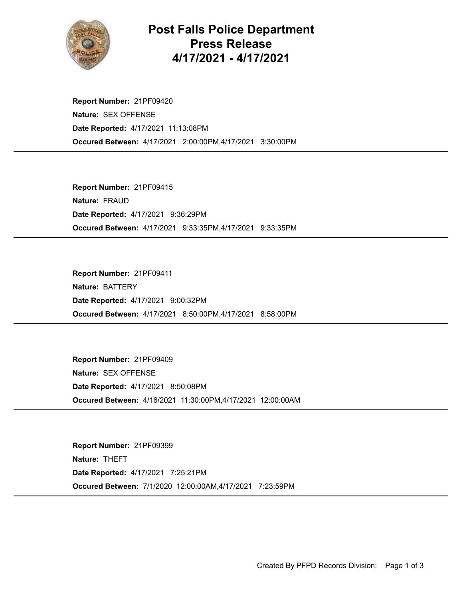

## Post Falls Police Department Press Release 4/17/2021 - 4/17/2021

Occured Between: 4/17/2021 2:00:00PM,4/17/2021 3:30:00PM Report Number: 21PF09420 Nature: SEX OFFENSE Date Reported: 4/17/2021 11:13:08PM

Occured Between: 4/17/2021 9:33:35PM,4/17/2021 9:33:35PM Report Number: 21PF09415 Nature: FRAUD Date Reported: 4/17/2021 9:36:29PM

Occured Between: 4/17/2021 8:50:00PM,4/17/2021 8:58:00PM Report Number: 21PF09411 Nature: BATTERY Date Reported: 4/17/2021 9:00:32PM

Occured Between: 4/16/2021 11:30:00PM,4/17/2021 12:00:00AM Report Number: 21PF09409 Nature: SEX OFFENSE Date Reported: 4/17/2021 8:50:08PM

Occured Between: 7/1/2020 12:00:00AM,4/17/2021 7:23:59PM Report Number: 21PF09399 Nature: THEFT Date Reported: 4/17/2021 7:25:21PM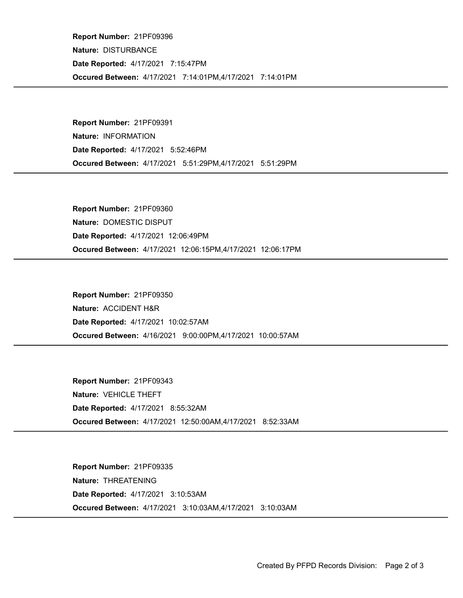Occured Between: 4/17/2021 7:14:01PM,4/17/2021 7:14:01PM Report Number: 21PF09396 Nature: DISTURBANCE Date Reported: 4/17/2021 7:15:47PM

Occured Between: 4/17/2021 5:51:29PM,4/17/2021 5:51:29PM Report Number: 21PF09391 Nature: INFORMATION Date Reported: 4/17/2021 5:52:46PM

Occured Between: 4/17/2021 12:06:15PM,4/17/2021 12:06:17PM Report Number: 21PF09360 Nature: DOMESTIC DISPUT Date Reported: 4/17/2021 12:06:49PM

Occured Between: 4/16/2021 9:00:00PM,4/17/2021 10:00:57AM Report Number: 21PF09350 Nature: ACCIDENT H&R Date Reported: 4/17/2021 10:02:57AM

Occured Between: 4/17/2021 12:50:00AM,4/17/2021 8:52:33AM Report Number: 21PF09343 Nature: VEHICLE THEFT Date Reported: 4/17/2021 8:55:32AM

Occured Between: 4/17/2021 3:10:03AM,4/17/2021 3:10:03AM Report Number: 21PF09335 Nature: THREATENING Date Reported: 4/17/2021 3:10:53AM